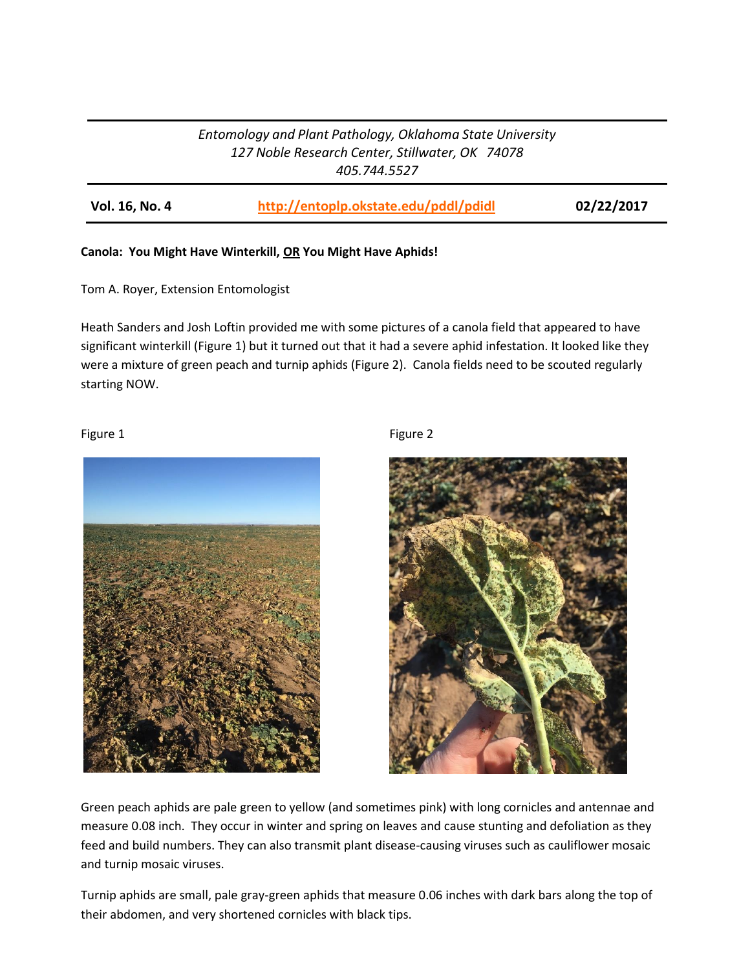# *Entomology and Plant Pathology, Oklahoma State University 127 Noble Research Center, Stillwater, OK 74078 405.744.5527*

**Vol. 16, No. 4 <http://entoplp.okstate.edu/pddl/pdidl> 02/22/2017**

## **Canola: You Might Have Winterkill, OR You Might Have Aphids!**

Tom A. Royer, Extension Entomologist

Heath Sanders and Josh Loftin provided me with some pictures of a canola field that appeared to have significant winterkill (Figure 1) but it turned out that it had a severe aphid infestation. It looked like they were a mixture of green peach and turnip aphids (Figure 2). Canola fields need to be scouted regularly starting NOW.

Figure 1 and 1 and 1 and 1 and 1 and 1 and 1 and 1 and 1 and 1 and 1 and 1 and 1 and 1 and 1 and 1 and 1 and 1





Green peach aphids are pale green to yellow (and sometimes pink) with long cornicles and antennae and measure 0.08 inch. They occur in winter and spring on leaves and cause stunting and defoliation as they feed and build numbers. They can also transmit plant disease-causing viruses such as cauliflower mosaic and turnip mosaic viruses.

Turnip aphids are small, pale gray-green aphids that measure 0.06 inches with dark bars along the top of their abdomen, and very shortened cornicles with black tips.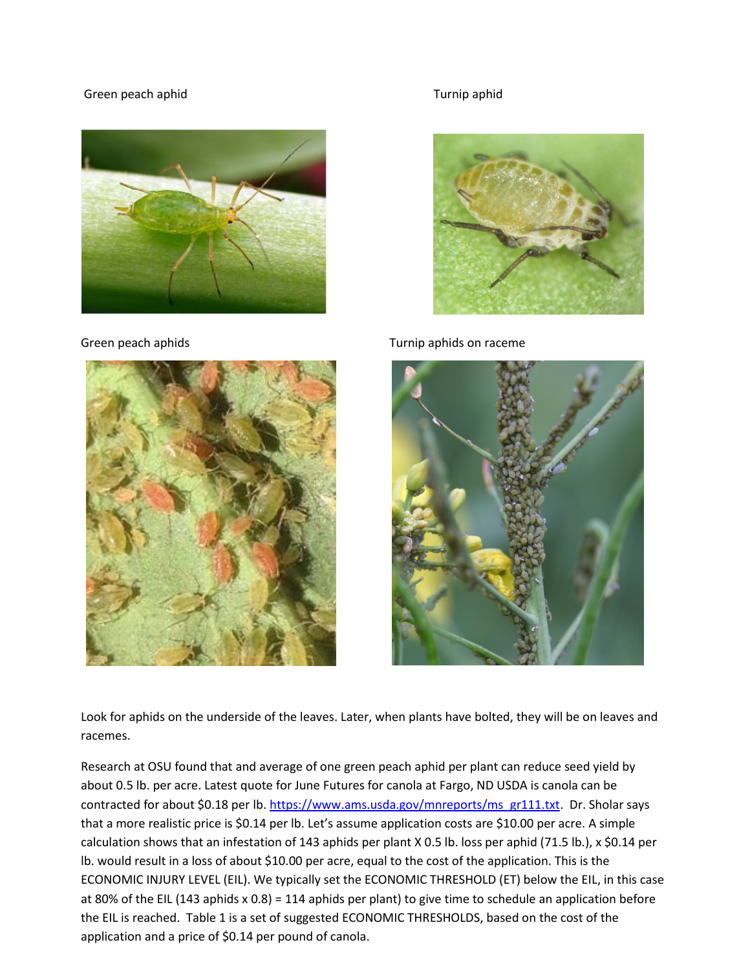### Green peach aphid **Turnip aphid** Turnip aphid







Green peach aphids Turnip aphids on raceme



Look for aphids on the underside of the leaves. Later, when plants have bolted, they will be on leaves and racemes.

Research at OSU found that and average of one green peach aphid per plant can reduce seed yield by about 0.5 lb. per acre. Latest quote for June Futures for canola at Fargo, ND USDA is canola can be contracted for about \$0.18 per lb. [https://www.ams.usda.gov/mnreports/ms\\_gr111.txt.](https://www.ams.usda.gov/mnreports/ms_gr111.txt) Dr. Sholar says that a more realistic price is \$0.14 per lb. Let's assume application costs are \$10.00 per acre. A simple calculation shows that an infestation of 143 aphids per plant X 0.5 lb. loss per aphid (71.5 lb.), x \$0.14 per lb. would result in a loss of about \$10.00 per acre, equal to the cost of the application. This is the ECONOMIC INJURY LEVEL (EIL). We typically set the ECONOMIC THRESHOLD (ET) below the EIL, in this case at 80% of the EIL (143 aphids x 0.8) = 114 aphids per plant) to give time to schedule an application before the EIL is reached. Table 1 is a set of suggested ECONOMIC THRESHOLDS, based on the cost of the application and a price of \$0.14 per pound of canola.